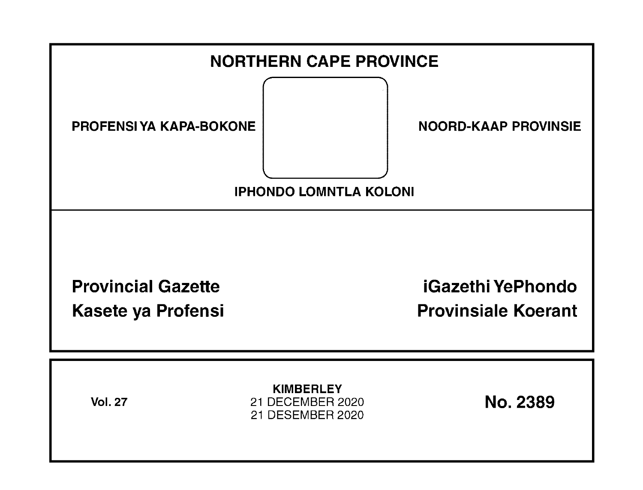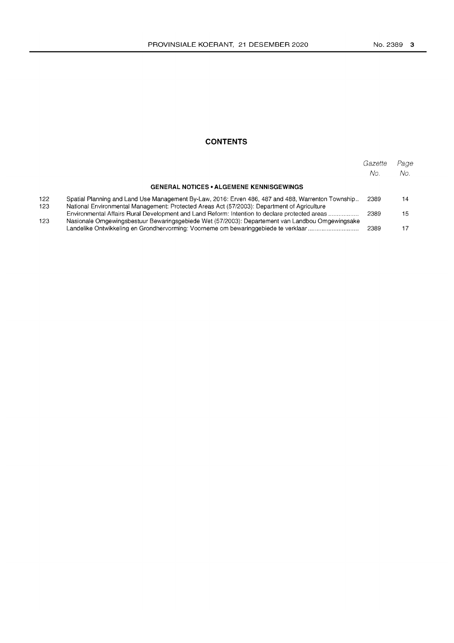### **CONTENTS**

|                                                 |                                                                                                                                                                                                  | Gazette<br>No. | Page<br>No. |
|-------------------------------------------------|--------------------------------------------------------------------------------------------------------------------------------------------------------------------------------------------------|----------------|-------------|
| <b>GENERAL NOTICES • ALGEMENE KENNISGEWINGS</b> |                                                                                                                                                                                                  |                |             |
| 122<br>123<br>123                               | Spatial Planning and Land Use Management By-Law, 2016: Erven 486, 487 and 488, Warrenton Township<br>National Environmental Management: Protected Areas Act (57/2003): Department of Agriculture | 2389           | 14          |
|                                                 | Environmental Affairs Rural Development and Land Reform: Intention to declare protected areas                                                                                                    | 2389           | 15          |
|                                                 | Nasionale Omgewingsbestuur Bewaringsgebiede Wet (57/2003): Departement van Landbou Omgewingsake<br>Landelike Ontwikkeling en Grondhervorming: Voorneme om bewaringgebiede te verklaar            | 2389           |             |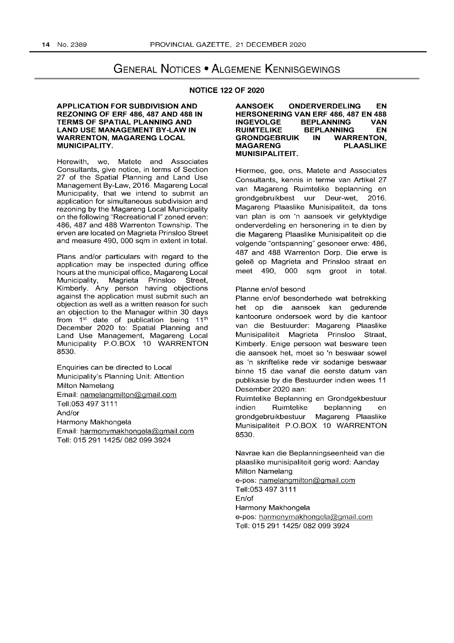# GENERAL NOTICES • ALGEMENE KENNISGEWINGS

#### NOTICE 122 OF 2020

#### APPLICATION FOR SUBDIVISION AND REZONING OF ERF 486, 487 AND 488 IN TERMS OF SPATIAL PLANNING AND LAND USE MANAGEMENT BY-LAW IN WARRENTON, MAGARENG LOCAL MUNICIPALITY.

Herewith, we, Matete and Associates Consultants, give notice, in terms of Section 27 of the Spatial Planning and Land Use Management By-Law, 2016. Magareng Local Municipality, that we intend to submit an application for simultaneous subdivision and rezoning by the Magareng Local Municipality on the following "Recreational I" zoned erven: 486, 487 and 488 Warrenton Township. The erven are located on Magrieta Prinsloo Street and measure 490, 000 sqm in extent in total.

Plans and/or particulars with regard to the application may be inspected during office hours at the municipal office, Magareng Local Municipality, Magrieta Prinsloo Street, Kimberly. Any person having objections against the application must submit such an objection as well as a written reason for such an objection to the Manager within 30 days from 1<sup>st</sup> date of publication being 11<sup>th</sup> December 2020 to: Spatial Planning and Land Use Management, Magareng Local Municipality P.O.BOX 10 WARRENTON 8530.

Enquiries can be directed to Local Municipality's Planning Unit: Attention Milton Namelang Email: namelangmilton@gmail.com Tell:053 497 3111 And/or Harmony Makhongela Email: harmonymakhongela@gmail.com Tell: 015291 1425/0820993924

AANSOEK ONDERVERDELING EN HERSONERING VAN ERF 486, 487 EN 488<br>INGEVOLGE BEPLANNING VAN BEPLANNING VAN RUIMTELIKE BEPLANNING EN<br>GRONDGEBRUIK IN WARRENTON. GRONDGEBRUIK IN WARRENTON,<br>MAGARENG PLAASLIKE MAGARENG MUNISIPALITEIT.

Hiermee, gee, ons, Matete and Associates Consultants, kennis in terme van Artikel 27 van Magareng Ruimtelike beplanning en grondgebruikbest uur Deur-wet, 2016. Magareng Plaaslike Munisipaliteit, da tons van plan is om 'n aansoek vir gelyktydige onderverdeling en hersonering in te dien by die Magareng Plaaslike Munisipaliteit op die volgende "ontspanning" gesoneer erwe: 486, 487 and 488 Warrenton Dorp. Die erwe is geleë op Magrieta and Prinsloo straat en meet 490, 000 sqm groot in total.

#### Planne en/of besond

Planne en/of besonderhede wat betrekking het op die aansoek kan gedurende kantoorure ondersoek word by die kantoor van die Bestuurder: Magareng Plaaslike Munisipaliteit Magrieta Prinsloo Straat, Kimberly. Enige persoon wat besware teen die aansoek het, moet so 'n beswaar sowel as 'n skriftelike rede vir sodanige beswaar binne 15 dae vanaf die eerste datum van publikasie by die Bestuurder indien wees 11 Desember 2020 aan:

Ruimtelike Beplanning en Grondgekbestuur indien Ruimtelike beplanning en grondgebruikbestuur Magareng Plaaslike Munisipaliteit P.O.BOX 10 WARRENTON 8530.

Navrae kan die Beplanningseenheid van die plaaslike munisipaliteit gerig word: Aanday Milton Namelang e-pos: namelangmilton@gmail.com Tell:053 497 3111 En/of Harmony Makhongela e-pos: harmonymakhongela@gmail.com Tell: 015291 1425/0820993924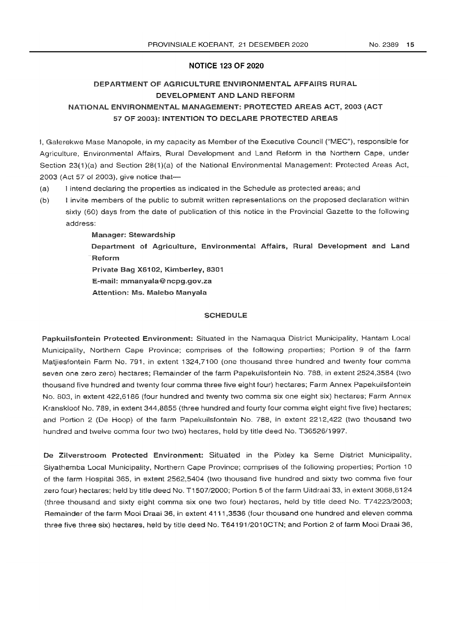### **NOTICE 123 OF 2020**

## DEPARTMENT OF AGRICULTURE ENVIRONMENTAL AFFAIRS RURAL DEVELOPMENT AND LAND REFORM NATIONAL ENVIRONMENTAL MANAGEMENT: PROTECTED AREAS ACT, 2003 (ACT 57 OF 2003): INTENTION TO DECLARE PROTECTED AREAS

I, Galerekwe Mase Manopole, in my capacity as Member of the Executive Council ("MEG"), responsible for Agriculture, Environmental Affairs, Rural Development and Land Reform in the Northern Cape, under Section 23(1)(a) and Section 28(1)(a) of the National Environmental Management: Protected Areas Act, 2003 (Act 57 of 2003), give notice that-

- (a) 1 intend declaring the properties as indicated in the Schedule as protected areas; and
- (b) I invite members of the public to submit written representations on the proposed declaration within sixty (60) days from the date of publication of this notice in the Provincial Gazette to the following address:
	- Manager: Stewardship

Department of Agriculture, Environmental Affairs, Rural Development and Land Reform

Private Bag X6102, Kimberley, 8301

E-mail: mmanyaia@ncpg.gov.za

Attention: Ms. Malebo Manyala

### **SCHEDULE**

Papkuilsiontein Protected Environment: Situated in the Namaqua District Municipality, Hantam Local Municipality, Northern Cape Province; comprises of the following properties; Portion 9 of the farm Matjiesfontein Farm No. 791, in extent 1324,7100 (one thousand three hundred and twenty four comma seven one zero zero) hectares; Remainder of the farm Papekuilsfontein No. 788, in extent 2524,3584 (two thousand five hundred and twenty four comma three five eight four) hectares; Farm Annex Papekuilsfontein No. 803, in extent 422,6186 (four hundred and twenty two comma six one eight six) hectares; Farm Annex Kranskloof No. 789, in extent 344,8855 (three hundred and fourty four comma eight eight five five) hectares; and Portion 2 (De Hoop) of the farm Papekuilsfontein No. 788, in extent 2212,422 (two thousand two hundred and twelve comma four two two) hectares, held by title deed No. T36526/1997.

De Zilverstroom Protected Environment: Situated in the Pixley ka Seme District Municipality, Siyathemba Local Municipality, Northern Gape Province; comprises of the following properties; Portion 10 of the farm Hospital 365, in extent 2562,5404 (two thousand five hundred and sixty two comma five four zero four) hectares; held by title deed No. T1507/2000; Portion 5 of the farm Uitdraai 33, in extent 3068,6124 (three thousand and sixty eight comma six one two four) hectares, held by title deed No. T74223/2003; Remainder of the farm Mooi Draai 36, in extent 4111 ,3536 (four thousand one hundred and eleven comma three five three six) hectares, held by title deed No. T64191/2010GTN; and Portion 2 of farm Mooi Draai 36,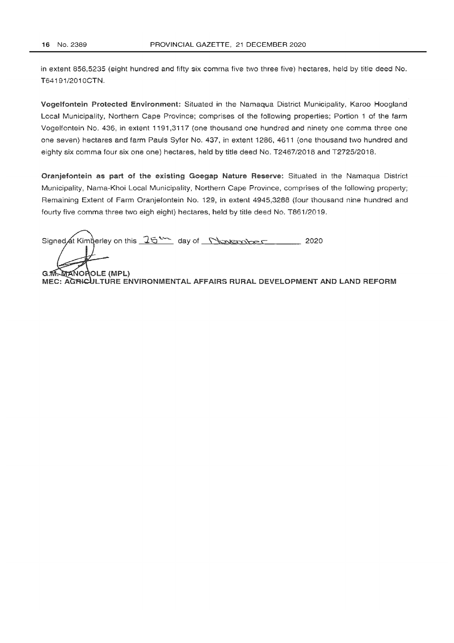in extent 856,5235 (eight hundred and fifty six comma five two three five) hectares, held by title deed No. T64191/2010CTN.

Vogelfontein Protected Environment: Situated in the Namaqua District Municipality. Karoa Hoogland Local Municipality. Northern Cape Province; comprises of the following properties; Portion 1 of the farm Vogelfontein No. 436, in extent 1191,3117 (one thousand one hundred and ninety one comma three one one seven) hectares and farm Pauls Syfer No. 437, in extent 1286, 4611 (one thousand two hundred and eighty six comma four six one one) hectares, held by title deed No. T2467/2018 and T2725/2018.

Oranjefontein as part of the existing Goegap Nature Reserve: Situated in the Namaqua District Municipality, Nama-Khoi Local Municipality, Northern Cape Province, comprises of the following property; Remaining Extent of Farm Oranjefontein No. 129, in extent 4945,3288 (four thousand nine hundred and fourty five comma three two eigh eight) hectares, held by title deed No. T861J2019.

Signed at Kimberley on this  $25$ <sup>th</sup> day of November 2020

**G.M. MANOROLE (MPL)** MEC: AGRICULTURE ENVIRONMENTAL AFFAIRS RURAL DEVELOPMENT AND LAND REFORM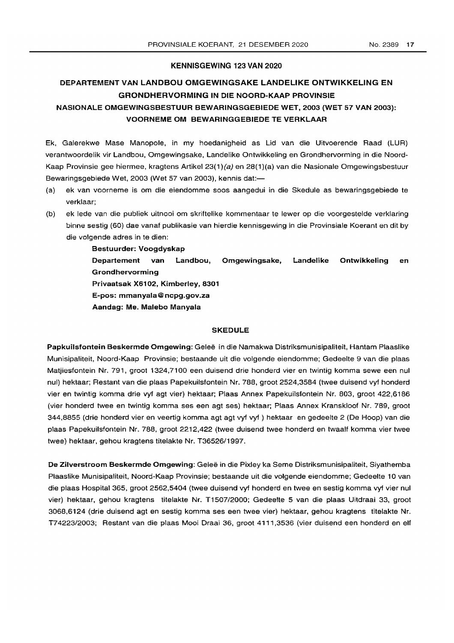#### KENNISGEWING 123 VAN 2020

## DEPARTEMENT VAN LANDBOU OMGEWINGSAKE LANDELIKE ONTWIKKELING EN GRONDHERVORMING IN DIE NOORD-KAAP PROVINSIE

## NASIONALE OMGEWINGSBESTUUR BEWARINGSGEBIEDE WET, 2003 (WET 57 VAN 2003): VOORNEME OM BEWARINGGEBIEDE TE VERKLAAR

Ek, Galerekwe Mase Manopole, in my hoedanigheid as Lid van die Uitvoerende Raad (LUR) verantwoordelik vir Landbou, Omgewingsake, Landelike Ontwikkeling en Grondhervorming in die Noord-Kaap Provinsie gee hiermee, kragtens Artikel 23(1)(a) en 28(1)(a) van die Nasionale Omgewingsbestuur Bewaringsgebiede Wet, 2003 (Wet 57 van 2003), kennis dat:-

- (a) ek van voorneme is om die eiendomme soos aangedui in die 8kedule as bewaringsgebiede te verklaar;
- (b) ek lede van die publiek uitnooi om skriftelike kommentaar te lewer op die voorgestelde verklaring binne sestig (60) dae vanaf publikasie van hierdie kennisgewing in die Provinsiale Koerant en dit by die volgende adres in te dien:

Bestuurder: Voogdyskap Departement van Landbou, Omgewingsake, Landelike Ontwikkeling en Grondhervorming Privaatsak X6102, Kimberley, 8301 E-pos: mmanyala@ncpg.gov.za Aandag: Me. Malebo Manyala

### SKEDULE

Papkuilsfontein Beskermde Omgewing: Geleë in die Namakwa Distriksmunisipaliteit, Hantam Plaaslike Munisipaliteit, Noord-Kaap Provinsie; bestaande uit die volgende eiendomme; Gedeelte 9 van die plaas Matjiesfontein Nr. 791, groot 1324,7100 een duisend drie honderd vier en twintig komma sewe een nul nul) hektaar; Restant van die plaas Papekuilsfontein Nr. 788, groot 2524,3584 (twee duisend vyf honderd vier en twintig komma drie vyf agt vier) hektaar; Plaas Annex Papekuilsfontein Nr. 803, groot 422,6186 (vier honderd twee en twintig komma ses een agt ses) hektaar; Plaas Annex Kranskloof Nr. 789, groot 344,8855 (drie honderd vier en veertig komma agt agt vyf vyf ) hektaar en gedeelte 2 (De Hoop) van die plaas Papekuilsfontein Nr. 788, groot 2212,422 (twee duisend twee honderd en twaalf komma vier twee twee) hektaar, gehou kragtens titelakte Nr. T36526/1997.

De Zilverstroom Beskermde Omgewing: Geleë in die Pixley ka Seme Distriksmunisipaliteit, Siyathemba Plaaslike Munisipaliteit, Noord-Kaap Provinsie; bestaande uit die volgende eiendomme; Gedeelte 10 van die plaas Hospital 365, groot 2562,5404 (twee duisend vyf honderd en twee en sestig komma vyf vier nul vier) hektaar, gehou kragtens titelakte Nr. T1507/2000; Gedeelte 5 van die plaas Uitdraai 33, groot 3068,6124 (drie duisend agt en sestig komma ses een twee vier) hektaar, gehou kragtens titelakte Nr. T74223/2003; Restant van die plaas Mooi Draai 36, groot 4111,3536 (vier duisend een honderd en elf